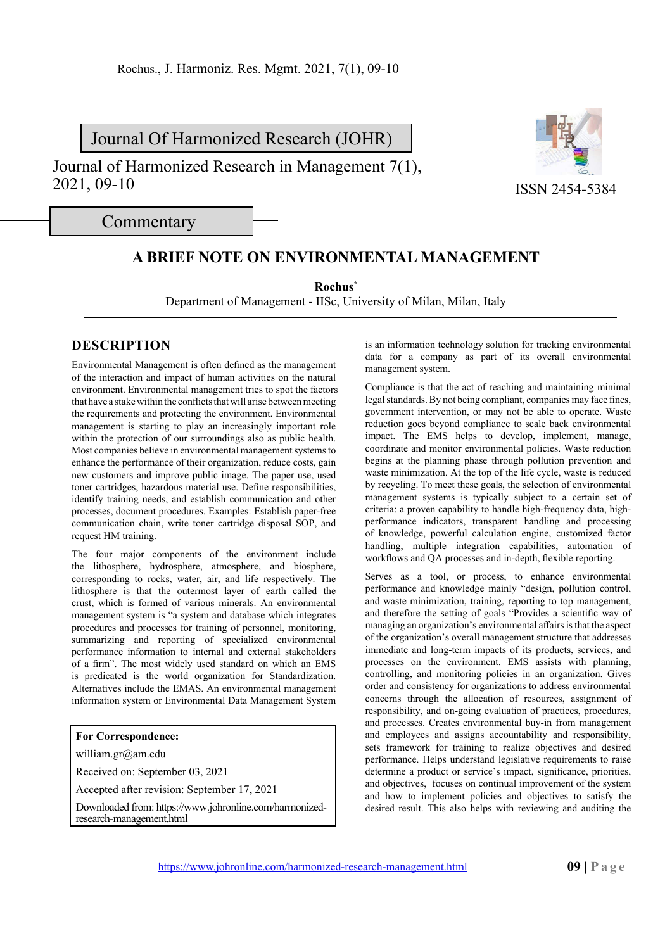Journal Of Harmonized Research (JOHR)

Journal of Harmonized Research in Management 7(1), 2021, 09-10



ISSN 2454-5384

Commentary

## **A BRIEF NOTE ON ENVIRONMENTAL MANAGEMENT**

**Rochus\***

Department of Management - IISc, University of Milan, Milan, Italy

## **DESCRIPTION**

Environmental Management is often defined as the management of the interaction and impact of human activities on the natural environment. Environmental management tries to spot the factors that have a stake within the conflicts that will arise between meeting the requirements and protecting the environment. Environmental management is starting to play an increasingly important role within the protection of our surroundings also as public health. Most companies believe in environmental management systems to enhance the performance of their organization, reduce costs, gain new customers and improve public image. The paper use, used toner cartridges, hazardous material use. Define responsibilities, identify training needs, and establish communication and other processes, document procedures. Examples: Establish paper-free communication chain, write toner cartridge disposal SOP, and request HM training.

The four major components of the environment include the lithosphere, hydrosphere, atmosphere, and biosphere, corresponding to rocks, water, air, and life respectively. The lithosphere is that the outermost layer of earth called the crust, which is formed of various minerals. An environmental management system is "a system and database which integrates procedures and processes for training of personnel, monitoring, summarizing and reporting of specialized environmental performance information to internal and external stakeholders of a firm". The most widely used standard on which an EMS is predicated is the world organization for Standardization. Alternatives include the EMAS. An environmental management information system or Environmental Data Management System

## **For Correspondence:**

william.gr@am.edu

Received on: September 03, 2021

Accepted after revision: September 17, 2021

Downloaded from: https://www.johronline.com/harmonizedresearch-management.html

is an information technology solution for tracking environmental data for a company as part of its overall environmental management system.

Compliance is that the act of reaching and maintaining minimal legal standards. By not being compliant, companies may face fines, government intervention, or may not be able to operate. Waste reduction goes beyond compliance to scale back environmental impact. The EMS helps to develop, implement, manage, coordinate and monitor environmental policies. Waste reduction begins at the planning phase through pollution prevention and waste minimization. At the top of the life cycle, waste is reduced by recycling. To meet these goals, the selection of environmental management systems is typically subject to a certain set of criteria: a proven capability to handle high-frequency data, highperformance indicators, transparent handling and processing of knowledge, powerful calculation engine, customized factor handling, multiple integration capabilities, automation of workflows and QA processes and in-depth, flexible reporting.

Serves as a tool, or process, to enhance environmental performance and knowledge mainly "design, pollution control, and waste minimization, training, reporting to top management, and therefore the setting of goals "Provides a scientific way of managing an organization's environmental affairs is that the aspect of the organization's overall management structure that addresses immediate and long-term impacts of its products, services, and processes on the environment. EMS assists with planning, controlling, and monitoring policies in an organization. Gives order and consistency for organizations to address environmental concerns through the allocation of resources, assignment of responsibility, and on-going evaluation of practices, procedures, and processes. Creates environmental buy-in from management and employees and assigns accountability and responsibility, sets framework for training to realize objectives and desired performance. Helps understand legislative requirements to raise determine a product or service's impact, significance, priorities, and objectives, focuses on continual improvement of the system and how to implement policies and objectives to satisfy the desired result. This also helps with reviewing and auditing the